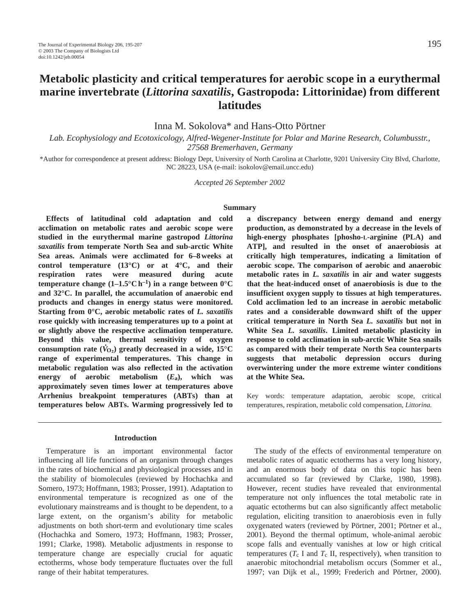# **Metabolic plasticity and critical temperatures for aerobic scope in a eurythermal marine invertebrate (***Littorina saxatilis***, Gastropoda: Littorinidae) from different latitudes**

Inna M. Sokolova\* and Hans-Otto Pörtner

*Lab. Ecophysiology and Ecotoxicology, Alfred-Wegener-Institute for Polar and Marine Research, Columbusstr., 27568 Bremerhaven, Germany*

\*Author for correspondence at present address: Biology Dept, University of North Carolina at Charlotte, 9201 University City Blvd, Charlotte, NC 28223, USA (e-mail: isokolov@email.uncc.edu)

*Accepted 26 September 2002*

#### **Summary**

**Effects of latitudinal cold adaptation and cold acclimation on metabolic rates and aerobic scope were studied in the eurythermal marine gastropod** *Littorina saxatilis* **from temperate North Sea and sub-arctic White Sea areas. Animals were acclimated for 6–8 weeks at control temperature (13°C) or at 4°C, and their respiration rates were measured during acute temperature change**  $(1-1.5^{\circ}\text{C h}^{-1})$  **in a range between**  $0^{\circ}\text{C}$ **and 32°C. In parallel, the accumulation of anaerobic end products and changes in energy status were monitored. Starting from 0°C, aerobic metabolic rates of** *L. saxatilis* **rose quickly with increasing temperatures up to a point at or slightly above the respective acclimation temperature. Beyond this value, thermal sensitivity of oxygen**  $\overline{C}$ **consumption rate** ( $\overline{V}_{Q_2}$ ) greatly decreased in a wide, 15°C **range of experimental temperatures. This change in metabolic regulation was also reflected in the activation energy of aerobic metabolism (***E***a), which was approximately seven times lower at temperatures above Arrhenius breakpoint temperatures (ABTs) than at temperatures below ABTs. Warming progressively led to**

#### **Introduction**

Temperature is an important environmental factor influencing all life functions of an organism through changes in the rates of biochemical and physiological processes and in the stability of biomolecules (reviewed by Hochachka and Somero, 1973; Hoffmann, 1983; Prosser, 1991). Adaptation to environmental temperature is recognized as one of the evolutionary mainstreams and is thought to be dependent, to a large extent, on the organism's ability for metabolic adjustments on both short-term and evolutionary time scales (Hochachka and Somero, 1973; Hoffmann, 1983; Prosser, 1991; Clarke, 1998). Metabolic adjustments in response to temperature change are especially crucial for aquatic ectotherms, whose body temperature fluctuates over the full range of their habitat temperatures.

**a discrepancy between energy demand and energy production, as demonstrated by a decrease in the levels of high-energy phosphates [phosho-L-arginine (PLA) and ATP], and resulted in the onset of anaerobiosis at critically high temperatures, indicating a limitation of aerobic scope. The comparison of aerobic and anaerobic metabolic rates in** *L. saxatilis* **in air and water suggests that the heat-induced onset of anaerobiosis is due to the insufficient oxygen supply to tissues at high temperatures. Cold acclimation led to an increase in aerobic metabolic rates and a considerable downward shift of the upper critical temperature in North Sea** *L. saxatilis* **but not in White Sea** *L. saxatilis***. Limited metabolic plasticity in response to cold acclimation in sub-arctic White Sea snails as compared with their temperate North Sea counterparts suggests that metabolic depression occurs during overwintering under the more extreme winter conditions at the White Sea.** 

Key words: temperature adaptation, aerobic scope, critical temperatures, respiration, metabolic cold compensation, *Littorina.*

The study of the effects of environmental temperature on metabolic rates of aquatic ectotherms has a very long history, and an enormous body of data on this topic has been accumulated so far (reviewed by Clarke, 1980, 1998). However, recent studies have revealed that environmental temperature not only influences the total metabolic rate in aquatic ectotherms but can also significantly affect metabolic regulation, eliciting transition to anaerobiosis even in fully oxygenated waters (reviewed by Pörtner, 2001; Pörtner et al., 2001). Beyond the thermal optimum, whole-animal aerobic scope falls and eventually vanishes at low or high critical temperatures ( $T_c$  I and  $T_c$  II, respectively), when transition to anaerobic mitochondrial metabolism occurs (Sommer et al., 1997; van Dijk et al., 1999; Frederich and Pörtner, 2000).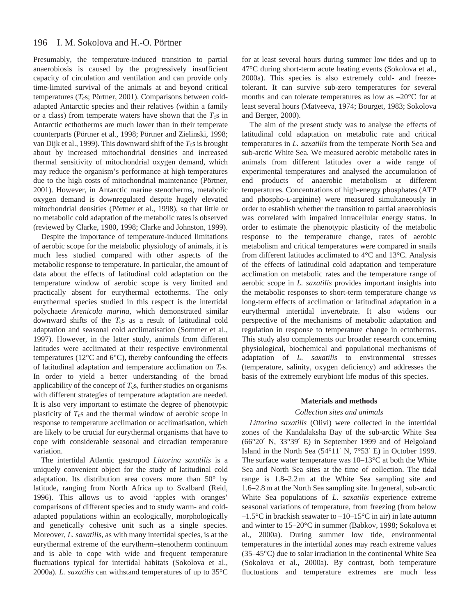#### 196 I. M. Sokolova and H.-O. Pörtner

Presumably, the temperature-induced transition to partial anaerobiosis is caused by the progressively insufficient capacity of circulation and ventilation and can provide only time-limited survival of the animals at and beyond critical temperatures (*T<sub>c</sub>s*; Pörtner, 2001). Comparisons between coldadapted Antarctic species and their relatives (within a family or a class) from temperate waters have shown that the  $T_c$ s in Antarctic ecthotherms are much lower than in their temperate counterparts (Pörtner et al., 1998; Pörtner and Zielinski, 1998; van Dijk et al., 1999). This downward shift of the  $T_c$ s is brought about by increased mitochondrial densities and increased thermal sensitivity of mitochondrial oxygen demand, which may reduce the organism's performance at high temperatures due to the high costs of mitochondrial maintenance (Pörtner, 2001). However, in Antarctic marine stenotherms, metabolic oxygen demand is downregulated despite hugely elevated mitochondrial densities (Pörtner et al., 1998), so that little or no metabolic cold adaptation of the metabolic rates is observed (reviewed by Clarke, 1980, 1998; Clarke and Johnston, 1999).

Despite the importance of temperature-induced limitations of aerobic scope for the metabolic physiology of animals, it is much less studied compared with other aspects of the metabolic response to temperature. In particular, the amount of data about the effects of latitudinal cold adaptation on the temperature window of aerobic scope is very limited and practically absent for eurythermal ectotherms. The only eurythermal species studied in this respect is the intertidal polychaete *Arenicola marina*, which demonstrated similar downward shifts of the T<sub>c</sub>s as a result of latitudinal cold adaptation and seasonal cold acclimatisation (Sommer et al., 1997). However, in the latter study, animals from different latitudes were acclimated at their respective environmental temperatures (12°C and 6°C), thereby confounding the effects of latitudinal adaptation and temperature acclimation on  $T_c$ s. In order to yield a better understanding of the broad applicability of the concept of  $T_c$ s, further studies on organisms with different strategies of temperature adaptation are needed. It is also very important to estimate the degree of phenotypic plasticity of  $T_c$ s and the thermal window of aerobic scope in response to temperature acclimation or acclimatisation, which are likely to be crucial for eurythermal organisms that have to cope with considerable seasonal and circadian temperature variation.

The intertidal Atlantic gastropod *Littorina saxatilis* is a uniquely convenient object for the study of latitudinal cold adaptation. Its distribution area covers more than 50° by latitude, ranging from North Africa up to Svalbard (Reid, 1996). This allows us to avoid 'apples with oranges' comparisons of different species and to study warm- and coldadapted populations within an ecologically, morphologically and genetically cohesive unit such as a single species. Moreover, *L. saxatilis,* as with many intertidal species, is at the eurythermal extreme of the eurytherm–stenotherm continuum and is able to cope with wide and frequent temperature fluctuations typical for intertidal habitats (Sokolova et al., 2000a). *L. saxatilis* can withstand temperatures of up to 35°C

for at least several hours during summer low tides and up to 47°C during short-term acute heating events (Sokolova et al., 2000a). This species is also extremely cold- and freezetolerant. It can survive sub-zero temperatures for several months and can tolerate temperatures as low as –20°C for at least several hours (Matveeva, 1974; Bourget, 1983; Sokolova and Berger, 2000).

The aim of the present study was to analyse the effects of latitudinal cold adaptation on metabolic rate and critical temperatures in *L. saxatilis* from the temperate North Sea and sub-arctic White Sea. We measured aerobic metabolic rates in animals from different latitudes over a wide range of experimental temperatures and analysed the accumulation of end products of anaerobic metabolism at different temperatures. Concentrations of high-energy phosphates (ATP and phospho-L-arginine) were measured simultaneously in order to establish whether the transition to partial anaerobiosis was correlated with impaired intracellular energy status. In order to estimate the phenotypic plasticity of the metabolic response to the temperature change, rates of aerobic metabolism and critical temperatures were compared in snails from different latitudes acclimated to 4°C and 13°C. Analysis of the effects of latitudinal cold adaptation and temperature acclimation on metabolic rates and the temperature range of aerobic scope in *L. saxatilis* provides important insights into the metabolic responses to short-term temperature change *vs* long-term effects of acclimation or latitudinal adaptation in a eurythermal intertidal invertebrate. It also widens our perspective of the mechanisms of metabolic adaptation and regulation in response to temperature change in ectotherms. This study also complements our broader research concerning physiological, biochemical and populational mechanisms of adaptation of *L. saxatilis* to environmental stresses (temperature, salinity, oxygen deficiency) and addresses the basis of the extremely eurybiont life modus of this species.

### **Materials and methods**

#### *Collection sites and animals*

*Littorina saxatilis* (Olivi) were collected in the intertidal zones of the Kandalaksha Bay of the sub-arctic White Sea (66°20′ N, 33°39′ E) in September 1999 and of Helgoland Island in the North Sea (54°11′ N, 7°53′ E) in October 1999. The surface water temperature was 10–13°C at both the White Sea and North Sea sites at the time of collection. The tidal range is 1.8–2.2 m at the White Sea sampling site and 1.6–2.8 m at the North Sea sampling site. In general, sub-arctic White Sea populations of *L. saxatilis* experience extreme seasonal variations of temperature, from freezing (from below  $-1.5\degree$ C in brackish seawater to  $-10-15\degree$ C in air) in late autumn and winter to 15–20°C in summer (Babkov, 1998; Sokolova et al., 2000a). During summer low tide, environmental temperatures in the intertidal zones may reach extreme values (35–45°C) due to solar irradiation in the continental White Sea (Sokolova et al., 2000a). By contrast, both temperature fluctuations and temperature extremes are much less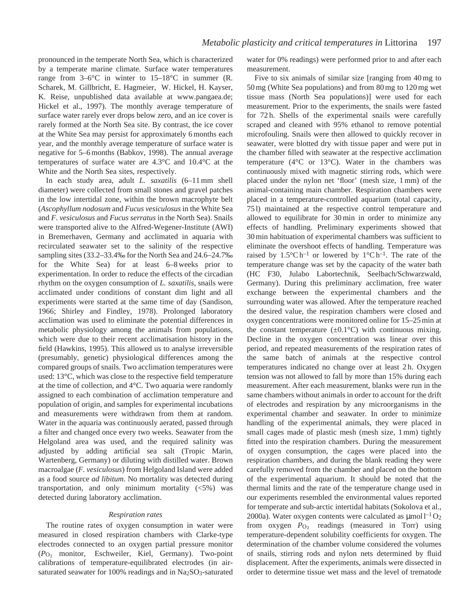pronounced in the temperate North Sea, which is characterized by a temperate marine climate. Surface water temperatures range from 3–6°C in winter to 15–18°C in summer (R. Scharek, M. Gillbricht, E. Hagmeier, W. Hickel, H. Kayser, K. Reise, unpublished data available at www.pangaea.de; Hickel et al., 1997). The monthly average temperature of surface water rarely ever drops below zero, and an ice cover is rarely formed at the North Sea site. By contrast, the ice cover at the White Sea may persist for approximately 6 months each year, and the monthly average temperature of surface water is negative for 5–6 months (Babkov, 1998). The annual average temperatures of surface water are 4.3°C and 10.4°C at the White and the North Sea sites, respectively.

In each study area, adult *L. saxatilis* (6–11 mm shell diameter) were collected from small stones and gravel patches in the low intertidal zone, within the brown macrophyte belt (*Ascophyllum nodosum* and *Fucus vesiculosus* in the White Sea and *F. vesiculosus* and *Fucus serratus* in the North Sea). Snails were transported alive to the Alfred-Wegener-Institute (AWI) in Bremerhaven, Germany and acclimated in aquaria with recirculated seawater set to the salinity of the respective sampling sites (33.2–33.4‰ for the North Sea and 24.6–24.7‰ for the White Sea) for at least 6–8 weeks prior to experimentation. In order to reduce the effects of the circadian rhythm on the oxygen consumption of *L. saxatilis*, snails were acclimated under conditions of constant dim light and all experiments were started at the same time of day (Sandison, 1966; Shirley and Findley, 1978). Prolonged laboratory acclimation was used to eliminate the potential differences in metabolic physiology among the animals from populations, which were due to their recent acclimatisation history in the field (Hawkins, 1995). This allowed us to analyse irreversible (presumably, genetic) physiological differences among the compared groups of snails. Two acclimation temperatures were used: 13°C, which was close to the respective field temperature at the time of collection, and 4°C. Two aquaria were randomly assigned to each combination of acclimation temperature and population of origin, and samples for experimental incubations and measurements were withdrawn from them at random. Water in the aquaria was continuously aerated, passed through a filter and changed once every two weeks. Seawater from the Helgoland area was used, and the required salinity was adjusted by adding artificial sea salt (Tropic Marin, Wartenberg, Germany) or diluting with distilled water. Brown macroalgae (*F. vesiculosus*) from Helgoland Island were added as a food source *ad libitum*. No mortality was detected during transportation, and only minimum mortality  $(\leq 5\%)$  was detected during laboratory acclimation.

## *Respiration rates*

The routine rates of oxygen consumption in water were measured in closed respiration chambers with Clarke-type electrodes connected to an oxygen partial pressure monitor (*P*O∑ monitor, Eschweiler, Kiel, Germany). Two-point calibrations of temperature-equilibrated electrodes (in airsaturated seawater for 100% readings and in Na<sub>2</sub>SO<sub>3</sub>-saturated

water for 0% readings) were performed prior to and after each measurement.

Five to six animals of similar size [ranging from 40 mg to 50 mg (White Sea populations) and from 80 mg to 120 mg wet tissue mass (North Sea populations)] were used for each measurement. Prior to the experiments, the snails were fasted for 72 h. Shells of the experimental snails were carefully scraped and cleaned with 95% ethanol to remove potential microfouling. Snails were then allowed to quickly recover in seawater, were blotted dry with tissue paper and were put in the chamber filled with seawater at the respective acclimation temperature (4°C or 13°C). Water in the chambers was continuously mixed with magnetic stirring rods, which were placed under the nylon net 'floor' (mesh size, 1 mm) of the animal-containing main chamber. Respiration chambers were placed in a temperature-controlled aquarium (total capacity, 75 l) maintained at the respective control temperature and allowed to equilibrate for 30 min in order to minimize any effects of handling. Preliminary experiments showed that 30 min habituation of experimental chambers was sufficient to eliminate the overshoot effects of handling. Temperature was raised by  $1.5^{\circ}$ C h<sup>-1</sup> or lowered by  $1^{\circ}$ C h<sup>-1</sup>. The rate of the temperature change was set by the capacity of the water bath (HC F30, Julabo Labortechnik, Seelbach/Schwarzwald, Germany). During this preliminary acclimation, free water exchange between the experimental chambers and the surrounding water was allowed. After the temperature reached the desired value, the respiration chambers were closed and oxygen concentrations were monitored online for 15–25 min at the constant temperature  $(\pm 0.1^{\circ}C)$  with continuous mixing. Decline in the oxygen concentration was linear over this period, and repeated measurements of the respiration rates of the same batch of animals at the respective control temperatures indicated no change over at least 2 h. Oxygen tension was not allowed to fall by more than 15% during each measurement. After each measurement, blanks were run in the same chambers without animals in order to account for the drift of electrodes and respiration by any microorganisms in the experimental chamber and seawater. In order to minimize handling of the experimental animals, they were placed in small cages made of plastic mesh (mesh size, 1 mm) tightly fitted into the respiration chambers. During the measurement of oxygen consumption, the cages were placed into the respiration chambers, and during the blank reading they were carefully removed from the chamber and placed on the bottom of the experimental aquarium. It should be noted that the thermal limits and the rate of the temperature change used in our experiments resembled the environmental values reported for temperate and sub-arctic intertidal habitats (Sokolova et al., 2000a). Water oxygen contents were calculated as  $\mu$ mol l<sup>-1</sup> O<sub>2</sub> from oxygen  $P_{\text{O}_2}$  readings (measured in Torr) using temperature-dependent solubility coefficients for oxygen. The determination of the chamber volume considered the volumes of snails, stirring rods and nylon nets determined by fluid displacement. After the experiments, animals were dissected in order to determine tissue wet mass and the level of trematode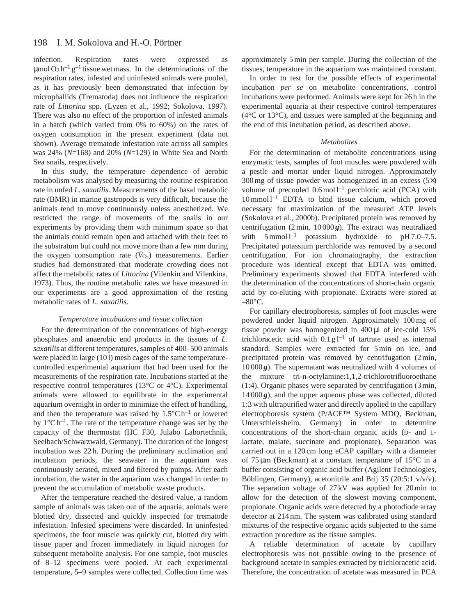infection. Respiration rates were expressed as  $\mu$ mol O<sub>2</sub> h<sup>-1</sup> g<sup>-1</sup> tissue wet mass. In the determinations of the respiration rates, infested and uninfested animals were pooled, as it has previously been demonstrated that infection by microphallids (Trematoda) does not influence the respiration rate of *Littorina* spp*.* (Lyzen et al., 1992; Sokolova, 1997). There was also no effect of the proportion of infested animals in a batch (which varied from 0% to 60%) on the rates of oxygen consumption in the present experiment (data not shown). Average trematode infestation rate across all samples was 24% (*N*=168) and 20% (*N*=129) in White Sea and North Sea snails, respectively.

In this study, the temperature dependence of aerobic metabolism was analysed by measuring the routine respiration rate in unfed *L. saxatilis*. Measurements of the basal metabolic rate (BMR) in marine gastropods is very difficult, because the animals tend to move continuously unless anesthetized. We restricted the range of movements of the snails in our experiments by providing them with minimum space so that the animals could remain open and attached with their feet to the substratum but could not move more than a few mm during the oxygen consumption rate  $(\dot{V}_{O_2})$  measurements. Earlier studies had demonstrated that moderate crowding does not affect the metabolic rates of *Littorina* (Vilenkin and Vilenkina, 1973). Thus, the routine metabolic rates we have measured in our experiments are a good approximation of the resting metabolic rates of *L. saxatilis*.

#### *Temperature incubations and tissue collection*

For the determination of the concentrations of high-energy phosphates and anaerobic end products in the tissues of *L. saxatilis* at different temperatures, samples of 400–500 animals were placed in large (101) mesh cages of the same temperaturecontrolled experimental aquarium that had been used for the measurements of the respiration rate. Incubations started at the respective control temperatures (13°C or 4°C). Experimental animals were allowed to equilibrate in the experimental aquarium overnight in order to minimize the effect of handling, and then the temperature was raised by  $1.5^{\circ}$ C h<sup>-1</sup> or lowered by  $1^{\circ}$ C h<sup>-1</sup>. The rate of the temperature change was set by the capacity of the thermostat (HC F30, Julabo Labortechnik, Seelbach/Schwarzwald, Germany). The duration of the longest incubation was 22 h. During the preliminary acclimation and incubation periods, the seawater in the aquarium was continuously aerated, mixed and filtered by pumps. After each incubation, the water in the aquarium was changed in order to prevent the accumulation of metabolic waste products.

After the temperature reached the desired value, a random sample of animals was taken out of the aquaria, animals were blotted dry, dissected and quickly inspected for trematode infestation. Infested specimens were discarded. In uninfested specimens, the foot muscle was quickly cut, blotted dry with tissue paper and frozen immediately in liquid nitrogen for subsequent metabolite analysis. For one sample, foot muscles of 8–12 specimens were pooled. At each experimental temperature, 5–9 samples were collected. Collection time was approximately 5 min per sample. During the collection of the tissues, temperature in the aquarium was maintained constant.

In order to test for the possible effects of experimental incubation *per se* on metabolite concentrations, control incubations were performed. Animals were kept for 26 h in the experimental aquaria at their respective control temperatures (4°C or 13°C), and tissues were sampled at the beginning and the end of this incubation period, as described above.

### *Metabolites*

For the determination of metabolite concentrations using enzymatic tests, samples of foot muscles were powdered with a pestle and mortar under liquid nitrogen. Approximately 300 mg of tissue powder was homogenized in an excess (5×) volume of precooled  $0.6 \text{ mol} \, \text{l}^{-1}$  perchloric acid (PCA) with  $10$  mmol  $1^{-1}$  EDTA to bind tissue calcium, which proved necessary for maximization of the measured ATP levels (Sokolova et al., 2000b). Precipitated protein was removed by centrifugation (2 min,  $10000g$ ). The extract was neutralized with  $5 \text{ mmol } l^{-1}$  potassium hydroxide to pH 7.0–7.5. Precipitated potassium perchloride was removed by a second centrifugation. For ion chromatography, the extraction procedure was identical except that EDTA was omitted. Preliminary experiments showed that EDTA interfered with the determination of the concentrations of short-chain organic acid by co-eluting with propionate. Extracts were stored at  $-80^{\circ}$ C.

For capillary electrophoresis, samples of foot muscles were powdered under liquid nitrogen. Approximately 100 mg of tissue powder was homogenized in 400 µl of ice-cold 15% trichloracetic acid with  $0.1 \text{ g l}^{-1}$  of tartrate used as internal standard. Samples were extracted for 5 min on ice, and precipitated protein was removed by centrifugation (2 min, 10 000 *g*). The supernatant was neutralized with 4 volumes of the mixture tri-n-octylamine:1,1,2-trichlorotrifluoroethane (1:4). Organic phases were separated by centrifugation (3 min,  $14000\,\text{g}$ ), and the upper aqueous phase was collected, diluted 1:3 with ultrapurified water and directly applied to the capillary electrophoresis system (P/ACE™ System MDQ, Beckman, Unterschleissheim, Germany) in order to determine concentrations of the short-chain organic acids (D- and Llactate, malate, succinate and propionate). Separation was carried out in a 120 cm long eCAP capillary with a diameter of 75 µm (Beckman) at a constant temperature of 15°C in a buffer consisting of organic acid buffer (Agilent Technologies, Böblingen, Germany), acetonitrile and Brij 35 (20:5:1 v/v/v). The separation voltage of 27 kV was applied for 20 min to allow for the detection of the slowest moving component, propionate. Organic acids were detected by a photodiode array detector at 214 nm. The system was calibrated using standard mixtures of the respective organic acids subjected to the same extraction procedure as the tissue samples.

A reliable determination of acetate by capillary electrophoresis was not possible owing to the presence of background acetate in samples extracted by trichloracetic acid. Therefore, the concentration of acetate was measured in PCA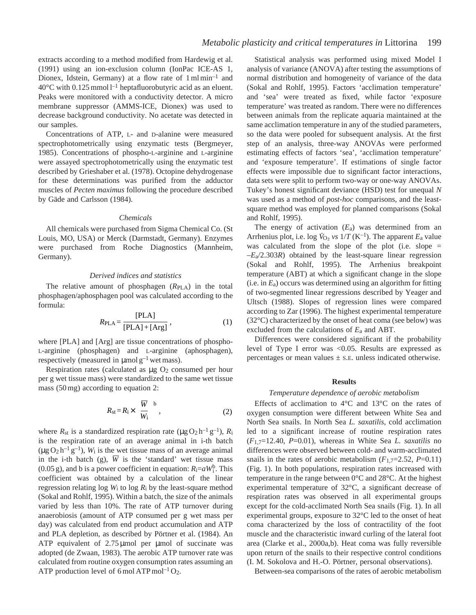extracts according to a method modified from Hardewig et al. (1991) using an ion-exclusion column (IonPac ICE-AS 1, Dionex, Idstein, Germany) at a flow rate of 1 ml min–1 and  $40^{\circ}$ C with 0.125 mmol l<sup>-1</sup> heptafluorobutyric acid as an eluent. Peaks were monitored with a conductivity detector. A micro membrane suppressor (AMMS-ICE, Dionex) was used to decrease background conductivity. No acetate was detected in our samples.

Concentrations of ATP, L- and D-alanine were measured spectrophotometrically using enzymatic tests (Bergmeyer, 1985). Concentrations of phospho-L-arginine and L-arginine were assayed spectrophotometrically using the enzymatic test described by Grieshaber et al. (1978). Octopine dehydrogenase for these determinations was purified from the adductor muscles of *Pecten maximus* following the procedure described by Gäde and Carlsson (1984).

#### *Chemicals*

All chemicals were purchased from Sigma Chemical Co. (St Louis, MO, USA) or Merck (Darmstadt, Germany). Enzymes were purchased from Roche Diagnostics (Mannheim, Germany).

### *Derived indices and statistics*

The relative amount of phosphagen ( $R<sub>PLA</sub>$ ) in the total phosphagen/aphosphagen pool was calculated according to the formula:

$$
R_{\text{PLA}} = \frac{\text{[PLA]}}{\text{[PLA]} + \text{[Arg]}} \,, \tag{1}
$$

where [PLA] and [Arg] are tissue concentrations of phospho-L-arginine (phosphagen) and L-arginine (aphosphagen), respectively (measured in  $\mu$ mol  $g^{-1}$  wet mass).

Respiration rates (calculated as  $\mu$ g O<sub>2</sub> consumed per hour per g wet tissue mass) were standardized to the same wet tissue mass (50 mg) according to equation 2:

$$
R_{\rm st} = R_{\rm i} \times \left(\frac{\overline{W}}{W_{\rm i}}\right)^{\rm b} \,,\tag{2}
$$

where  $R_{st}$  is a standardized respiration rate ( $\mu$ g O<sub>2</sub> h<sup>-1</sup> g<sup>-1</sup>),  $R_i$ is the respiration rate of an average animal in i-th batch  $(\mu g O_2 h^{-1} g^{-1})$ ,  $W_i$  is the wet tissue mass of an average animal  $(\mu g O_2 h^{-1} g^{-1})$ ,  $W_1$  is the wet tissue mass of an average animal<br>in the i-th batch (g),  $\overline{W}$  is the 'standard' wet tissue mass (0.05 g), and b is a power coefficient in equation:  $R_i = aW_i^b$ . This coefficient was obtained by a calculation of the linear regression relating log *W*i to log *R*i by the least-square method (Sokal and Rohlf, 1995). Within a batch, the size of the animals varied by less than 10%. The rate of ATP turnover during anaerobiosis (amount of ATP consumed per g wet mass per day) was calculated from end product accumulation and ATP and PLA depletion, as described by Pörtner et al. (1984). An ATP equivalent of 2.75 µmol per µmol of succinate was adopted (de Zwaan, 1983). The aerobic ATP turnover rate was calculated from routine oxygen consumption rates assuming an ATP production level of 6 mol ATP mol<sup>-1</sup> O<sub>2</sub>.

Statistical analysis was performed using mixed Model I analysis of variance (ANOVA) after testing the assumptions of normal distribution and homogeneity of variance of the data (Sokal and Rohlf, 1995). Factors 'acclimation temperature' and 'sea' were treated as fixed, while factor 'exposure temperature' was treated as random. There were no differences between animals from the replicate aquaria maintained at the same acclimation temperature in any of the studied parameters, so the data were pooled for subsequent analysis. At the first step of an analysis, three-way ANOVAs were performed estimating effects of factors 'sea', 'acclimation temperature' and 'exposure temperature'. If estimations of single factor effects were impossible due to significant factor interactions, data sets were split to perform two-way or one-way ANOVAs. Tukey's honest significant deviance (HSD) test for unequal *N* was used as a method of *post-hoc* comparisons, and the leastsquare method was employed for planned comparisons (Sokal and Rohlf, 1995).

The energy of activation  $(E_a)$  was determined from an Arrhenius plot, i.e. log  $V_{Q_2}$  *vs*  $1/T$  (K<sup>-1</sup>). The apparent  $E_a$  value was calculated from the slope of the plot (i.e. slope = –*E*a/2.303*R*) obtained by the least-square linear regression (Sokal and Rohlf, 1995). The Arrhenius breakpoint temperature (ABT) at which a significant change in the slope (i.e. in *E*a) occurs was determined using an algorithm for fitting of two-segmented linear regressions described by Yeager and Ultsch (1988). Slopes of regression lines were compared according to Zar (1996). The highest experimental temperature (32°C) characterized by the onset of heat coma (see below) was excluded from the calculations of *E*a and ABT.

Differences were considered significant if the probability level of Type I error was <0.05. Results are expressed as percentages or mean values  $\pm$  s.E. unless indicated otherwise.

#### **Results**

#### *Temperature dependence of aerobic metabolism*

Effects of acclimation to 4°C and 13°C on the rates of oxygen consumption were different between White Sea and North Sea snails. In North Sea *L. saxatilis*, cold acclimation led to a significant increase of routine respiration rates (*F*1,7=12.40, *P*=0.01), whereas in White Sea *L. saxatilis* no differences were observed between cold- and warm-acclimated snails in the rates of aerobic metabolism  $(F_{1,7}=2.52, P=0.11)$ (Fig. 1). In both populations, respiration rates increased with temperature in the range between 0°C and 28°C. At the highest experimental temperature of 32°C, a significant decrease of respiration rates was observed in all experimental groups except for the cold-acclimated North Sea snails (Fig. 1). In all experimental groups, exposure to 32°C led to the onset of heat coma characterized by the loss of contractility of the foot muscle and the characteristic inward curling of the lateral foot area (Clarke et al., 2000a,b). Heat coma was fully reversible upon return of the snails to their respective control conditions (I. M. Sokolova and H.-O. Pörtner, personal observations).

Between-sea comparisons of the rates of aerobic metabolism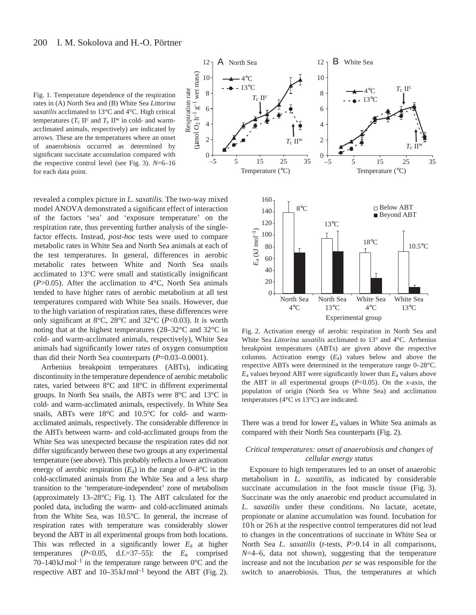Fig. 1. Temperature dependence of the respiration rates in (A) North Sea and (B) White Sea *Littorina saxatilis* acclimated to 13°C and 4°C. High critical temperatures ( $T_c$  II<sup>c</sup> and  $T_c$  II<sup>w</sup> in cold- and warmacclimated animals, respectively) are indicated by arrows. These are the temperatures where an onset of anaerobiosis occurred as determined by significant succinate accumulation compared with the respective control level (see Fig. 3). *N*=6–16 for each data point.

10

Respiration rate ( $\mu$ mol O<sub>2</sub> h<sup>-1</sup> g<sup>-1</sup> wet mass) mol  $O_2$  h<sup>-1</sup> g<sup>-1</sup> wet mass)

Respiration rate

 $12 -$ 

revealed a complex picture in *L. saxatilis*. The two-way mixed model ANOVA demonstrated a significant effect of interaction of the factors 'sea' and 'exposure temperature' on the respiration rate, thus preventing further analysis of the singlefactor effects. Instead, *post-hoc* tests were used to compare metabolic rates in White Sea and North Sea animals at each of the test temperatures. In general, differences in aerobic metabolic rates between White and North Sea snails acclimated to 13°C were small and statistically insignificant (*P*>0.05). After the acclimation to 4°C, North Sea animals tended to have higher rates of aerobic metabolism at all test temperatures compared with White Sea snails. However, due to the high variation of respiration rates, these differences were only significant at 8°C, 28°C and 32°C (*P*<0.03). It is worth noting that at the highest temperatures (28–32°C and 32°C in cold- and warm-acclimated animals, respectively), White Sea animals had significantly lower rates of oxygen consumption than did their North Sea counterparts (*P*=0.03–0.0001).

Arrhenius breakpoint temperatures (ABTs), indicating discontinuity in the temperature dependence of aerobic metabolic rates, varied between 8°C and 18°C in different experimental groups. In North Sea snails, the ABTs were 8°C and 13°C in cold- and warm-acclimated animals, respectively. In White Sea snails, ABTs were 18°C and 10.5°C for cold- and warmacclimated animals, respectively. The considerable difference in the ABTs between warm- and cold-acclimated groups from the White Sea was unexpected because the respiration rates did not differ significantly between these two groups at any experimental temperature (see above). This probably reflects a lower activation energy of aerobic respiration  $(E_a)$  in the range of 0–8°C in the cold-acclimated animals from the White Sea and a less sharp transition to the 'temperature-independent' zone of metabolism (approximately 13–28°C; Fig. 1). The ABT calculated for the pooled data, including the warm- and cold-acclimated animals from the White Sea, was 10.5°C. In general, the increase of respiration rates with temperature was considerably slower beyond the ABT in all experimental groups from both locations. This was reflected in a significantly lower *E*a at higher temperatures (*P*<0.05, d.f.=37–55): the *E*a comprised 70–140 kJ mol<sup>-1</sup> in the temperature range between  $0^{\circ}$ C and the respective ABT and  $10-35 \text{ kJ} \text{ mol}^{-1}$  beyond the ABT (Fig. 2).



Fig. 2. Activation energy of aerobic respiration in North Sea and White Sea *Littorina saxatilis* acclimated to 13° and 4°C. Arrhenius breakpoint temperatures (ABTs) are given above the respective columns. Activation energy (*E*a) values below and above the respective ABTs were determined in the temperature range 0–28°C. *E*a values beyond ABT were significantly lower than *E*a values above the ABT in all experimental groups (*P*<0.05). On the *x*-axis, the population of origin (North Sea *vs* White Sea) and acclimation temperatures (4°C *vs* 13°C) are indicated.

There was a trend for lower *E*a values in White Sea animals as compared with their North Sea counterparts (Fig. 2).

# *Critical temperatures: onset of anaerobiosis and changes of cellular energy status*

Exposure to high temperatures led to an onset of anaerobic metabolism in *L. saxatilis*, as indicated by considerable succinate accumulation in the foot muscle tissue (Fig. 3). Succinate was the only anaerobic end product accumulated in *L. saxatilis* under these conditions. No lactate, acetate, propionate or alanine accumulation was found. Incubation for 10 h or 26 h at the respective control temperatures did not lead to changes in the concentrations of succinate in White Sea or North Sea *L. saxatilis* (*t*-tests, *P*>0.14 in all comparisons, *N*=4–6, data not shown), suggesting that the temperature increase and not the incubation *per se* was responsible for the switch to anaerobiosis. Thus, the temperatures at which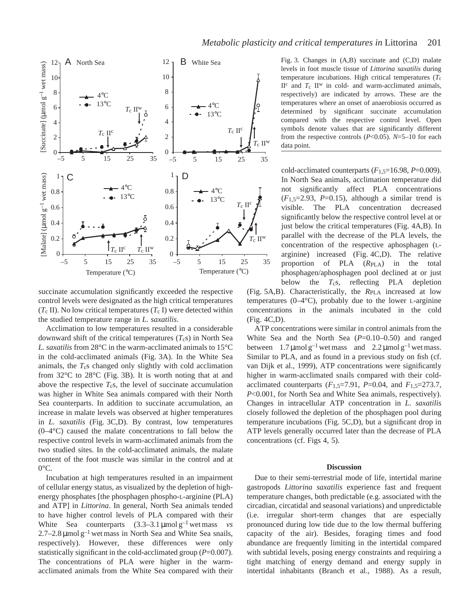

succinate accumulation significantly exceeded the respective control levels were designated as the high critical temperatures  $(T_c II)$ . No low critical temperatures  $(T_c I)$  were detected within the studied temperature range in *L. saxatilis*.

Acclimation to low temperatures resulted in a considerable downward shift of the critical temperatures  $(T_c s)$  in North Sea *L. saxatilis* from 28°C in the warm-acclimated animals to 15°C in the cold-acclimated animals (Fig. 3A). In the White Sea animals, the *T*cs changed only slightly with cold acclimation from 32°C to 28°C (Fig. 3B). It is worth noting that at and above the respective  $T_c$ s, the level of succinate accumulation was higher in White Sea animals compared with their North Sea counterparts. In addition to succinate accumulation, an increase in malate levels was observed at higher temperatures in *L. saxatilis* (Fig. 3C,D). By contrast, low temperatures (0–4°C) caused the malate concentrations to fall below the respective control levels in warm-acclimated animals from the two studied sites. In the cold-acclimated animals, the malate content of the foot muscle was similar in the control and at  $0^{\circ}$ C.

Incubation at high temperatures resulted in an impairment of cellular energy status, as visualized by the depletion of highenergy phosphates [the phosphagen phospho-L-arginine (PLA) and ATP] in *Littorina*. In general, North Sea animals tended to have higher control levels of PLA compared with their White Sea counterparts  $(3.3-3.1 \,\mu\text{mol}\,\text{g}^{-1})$  wet mass *vs*  $2.7-2.8 \mu$ mol g<sup>-1</sup> wet mass in North Sea and White Sea snails, respectively). However, these differences were only statistically significant in the cold-acclimated group (*P*=0.007). The concentrations of PLA were higher in the warmacclimated animals from the White Sea compared with their Fig. 3. Changes in (A,B) succinate and (C,D) malate levels in foot muscle tissue of *Littorina saxatilis* during temperature incubations. High critical temperatures  $(T_c)$ II<sup>c</sup> and  $T_c$  II<sup>w</sup> in cold- and warm-acclimated animals, respectively) are indicated by arrows. These are the temperatures where an onset of anaerobiosis occurred as determined by significant succinate accumulation compared with the respective control level. Open symbols denote values that are significantly different from the respective controls (*P*<0.05). *N*=5–10 for each data point.

cold-acclimated counterparts (*F*1,5=16.98, *P*=0.009). In North Sea animals, acclimation temperature did not significantly affect PLA concentrations  $(F_{1.5}=2.93, P=0.15)$ , although a similar trend is visible. The PLA concentration decreased significantly below the respective control level at or just below the critical temperatures (Fig. 4A,B). In parallel with the decrease of the PLA levels, the concentration of the respective aphosphagen (Larginine) increased (Fig. 4C,D). The relative proportion of PLA (*R*PLA) in the total phosphagen/aphosphagen pool declined at or just below the *T<sub>c</sub>s*, reflecting PLA depletion

(Fig. 5A,B). Characteristically, the *R*PLA increased at low temperatures  $(0-4^{\circ}C)$ , probably due to the lower L-arginine concentrations in the animals incubated in the cold (Fig. 4C,D).

ATP concentrations were similar in control animals from the White Sea and the North Sea ( $P=0.10-0.50$ ) and ranged between  $1.7 \mu$ mol g<sup>-1</sup> wet mass and  $2.2 \mu$ mol g<sup>-1</sup> wet mass. Similar to PLA, and as found in a previous study on fish (cf. van Dijk et al., 1999), ATP concentrations were significantly higher in warm-acclimated snails compared with their coldacclimated counterparts (*F*1,5=7.91, *P*=0.04, and *F*1,5=273.7, *P*<0.001, for North Sea and White Sea animals, respectively). Changes in intracellular ATP concentration in *L. saxatilis* closely followed the depletion of the phosphagen pool during temperature incubations (Fig. 5C,D), but a significant drop in ATP levels generally occurred later than the decrease of PLA concentrations (cf. Figs 4, 5).

#### **Discussion**

Due to their semi-terrestrial mode of life, intertidal marine gastropods *Littorina saxatilis* experience fast and frequent temperature changes, both predictable (e.g. associated with the circadian, circatidal and seasonal variations) and unpredictable (i.e. irregular short-term changes that are especially pronounced during low tide due to the low thermal buffering capacity of the air). Besides, foraging times and food abundance are frequently limiting in the intertidal compared with subtidal levels, posing energy constraints and requiring a tight matching of energy demand and energy supply in intertidal inhabitants (Branch et al., 1988). As a result,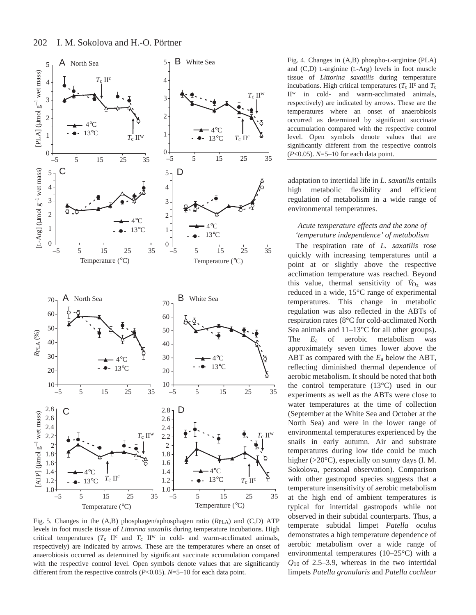

Fig. 5. Changes in the (A,B) phosphagen/aphosphagen ratio ( $R_{\text{PLA}}$ ) and (C,D) ATP levels in foot muscle tissue of *Littorina saxatilis* during temperature incubations. High critical temperatures  $(T_c \text{ } II^c \text{ } and \text{ } T_c \text{ } II^w \text{ } in \text{ } cold-$  and warm-acclimated animals, respectively) are indicated by arrows. These are the temperatures where an onset of anaerobiosis occurred as determined by significant succinate accumulation compared with the respective control level. Open symbols denote values that are significantly different from the respective controls (*P*<0.05). *N*=5–10 for each data point.

Fig. 4. Changes in (A,B) phospho-L-arginine (PLA) and (C,D) L-arginine (L-Arg) levels in foot muscle tissue of *Littorina saxatilis* during temperature incubations. High critical temperatures ( $T_c$  II<sup>c</sup> and  $T_c$ II<sup>w</sup> in cold- and warm-acclimated animals, respectively) are indicated by arrows. These are the temperatures where an onset of anaerobiosis occurred as determined by significant succinate accumulation compared with the respective control level. Open symbols denote values that are significantly different from the respective controls (*P*<0.05). *N*=5–10 for each data point.

adaptation to intertidal life in *L. saxatilis* entails high metabolic flexibility and efficient regulation of metabolism in a wide range of environmental temperatures.

# *Acute temperature effects and the zone of 'temperature independence' of metabolism*

The respiration rate of *L. saxatilis* rose quickly with increasing temperatures until a point at or slightly above the respective acclimation temperature was reached. Beyond  $\alpha$  commation temperature was reached. Beyond this value, thermal sensitivity of  $\dot{V}_{O_2}$  was reduced in a wide, 15°C range of experimental temperatures. This change in metabolic regulation was also reflected in the ABTs of respiration rates (8°C for cold-acclimated North Sea animals and 11–13°C for all other groups). The *E*a of aerobic metabolism was approximately seven times lower above the ABT as compared with the *E*a below the ABT, reflecting diminished thermal dependence of aerobic metabolism. It should be noted that both the control temperature (13°C) used in our experiments as well as the ABTs were close to water temperatures at the time of collection (September at the White Sea and October at the North Sea) and were in the lower range of environmental temperatures experienced by the snails in early autumn. Air and substrate temperatures during low tide could be much higher (>20°C), especially on sunny days (I. M. Sokolova, personal observation). Comparison with other gastropod species suggests that a temperature insensitivity of aerobic metabolism at the high end of ambient temperatures is typical for intertidal gastropods while not observed in their subtidal counterparts. Thus, a temperate subtidal limpet *Patella oculus* demonstrates a high temperature dependence of aerobic metabolism over a wide range of environmental temperatures (10–25°C) with a *Q*10 of 2.5–3.9, whereas in the two intertidal limpets *Patella granularis* and *Patella cochlear*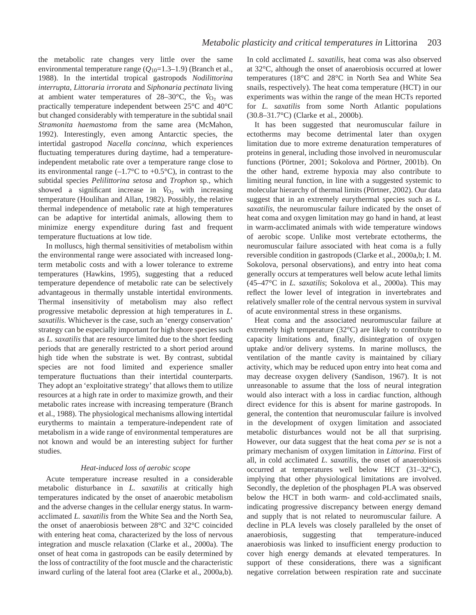the metabolic rate changes very little over the same environmental temperature range (Q<sub>10</sub>=1.3–1.9) (Branch et al., 1988). In the intertidal tropical gastropods *Nodilittorina interrupta*, *Littoraria irrorata* and *Siphonaria pectinata* living . at ambient water temperatures of  $28-30$ °C, the  $\dot{V}_{O_2}$  was practically temperature independent between 25°C and 40°C but changed considerably with temperature in the subtidal snail *Stramonita haemastoma* from the same area (McMahon, 1992). Interestingly, even among Antarctic species, the intertidal gastropod *Nacella concinna*, which experiences fluctuating temperatures during daytime, had a temperatureindependent metabolic rate over a temperature range close to its environmental range  $(-1.7^{\circ}\text{C}$  to  $+0.5^{\circ}\text{C})$ , in contrast to the subtidal species *Pelilittorina setosa* and *Trophon* sp., which . showed a significant increase in  $\dot{V}_{\text{O}_2}$  with increasing temperature (Houlihan and Allan, 1982). Possibly, the relative thermal independence of metabolic rate at high temperatures can be adaptive for intertidal animals, allowing them to minimize energy expenditure during fast and frequent temperature fluctuations at low tide.

In molluscs, high thermal sensitivities of metabolism within the environmental range were associated with increased longterm metabolic costs and with a lower tolerance to extreme temperatures (Hawkins, 1995), suggesting that a reduced temperature dependence of metabolic rate can be selectively advantageous in thermally unstable intertidal environments. Thermal insensitivity of metabolism may also reflect progressive metabolic depression at high temperatures in *L. saxatilis*. Whichever is the case, such an 'energy conservation' strategy can be especially important for high shore species such as *L. saxatilis* that are resource limited due to the short feeding periods that are generally restricted to a short period around high tide when the substrate is wet. By contrast, subtidal species are not food limited and experience smaller temperature fluctuations than their intertidal counterparts. They adopt an 'exploitative strategy' that allows them to utilize resources at a high rate in order to maximize growth, and their metabolic rates increase with increasing temperature (Branch et al., 1988). The physiological mechanisms allowing intertidal eurytherms to maintain a temperature-independent rate of metabolism in a wide range of environmental temperatures are not known and would be an interesting subject for further studies.

# *Heat-induced loss of aerobic scope*

Acute temperature increase resulted in a considerable metabolic disturbance in *L. saxatilis* at critically high temperatures indicated by the onset of anaerobic metabolism and the adverse changes in the cellular energy status. In warmacclimated *L. saxatilis* from the White Sea and the North Sea, the onset of anaerobiosis between 28°C and 32°C coincided with entering heat coma, characterized by the loss of nervous integration and muscle relaxation (Clarke et al., 2000a). The onset of heat coma in gastropods can be easily determined by the loss of contractility of the foot muscle and the characteristic inward curling of the lateral foot area (Clarke et al., 2000a,b). In cold acclimated *L. saxatilis*, heat coma was also observed at 32°C, although the onset of anaerobiosis occurred at lower temperatures (18°C and 28°C in North Sea and White Sea snails, respectively). The heat coma temperature (HCT) in our experiments was within the range of the mean HCTs reported for *L. saxatilis* from some North Atlantic populations (30.8–31.7°C) (Clarke et al., 2000b).

It has been suggested that neuromuscular failure in ectotherms may become detrimental later than oxygen limitation due to more extreme denaturation temperatures of proteins in general, including those involved in neuromuscular functions (Pörtner, 2001; Sokolova and Pörtner, 2001b). On the other hand, extreme hypoxia may also contribute to limiting neural function, in line with a suggested systemic to molecular hierarchy of thermal limits (Pörtner, 2002). Our data suggest that in an extremely eurythermal species such as *L. saxatilis*, the neuromuscular failure indicated by the onset of heat coma and oxygen limitation may go hand in hand, at least in warm-acclimated animals with wide temperature windows of aerobic scope. Unlike most vertebrate ectotherms, the neuromuscular failure associated with heat coma is a fully reversible condition in gastropods (Clarke et al., 2000a,b; I. M. Sokolova, personal observations), and entry into heat coma generally occurs at temperatures well below acute lethal limits (45–47°C in *L. saxatilis*; Sokolova et al., 2000a). This may reflect the lower level of integration in invertebrates and relatively smaller role of the central nervous system in survival of acute environmental stress in these organisms.

Heat coma and the associated neuromuscular failure at extremely high temperature (32°C) are likely to contribute to capacity limitations and, finally, disintegration of oxygen uptake and/or delivery systems. In marine molluscs, the ventilation of the mantle cavity is maintained by ciliary activity, which may be reduced upon entry into heat coma and may decrease oxygen delivery (Sandison, 1967). It is not unreasonable to assume that the loss of neural integration would also interact with a loss in cardiac function, although direct evidence for this is absent for marine gastropods. In general, the contention that neuromuscular failure is involved in the development of oxygen limitation and associated metabolic disturbances would not be all that surprising. However, our data suggest that the heat coma *per se* is not a primary mechanism of oxygen limitation in *Littorina*. First of all, in cold acclimated *L. saxatilis*, the onset of anaerobiosis occurred at temperatures well below HCT (31–32°C), implying that other physiological limitations are involved. Secondly, the depletion of the phosphagen PLA was observed below the HCT in both warm- and cold-acclimated snails, indicating progressive discrepancy between energy demand and supply that is not related to neuromuscular failure. A decline in PLA levels was closely paralleled by the onset of anaerobiosis, suggesting that temperature-induced anaerobiosis was linked to insufficient energy production to cover high energy demands at elevated temperatures. In support of these considerations, there was a significant negative correlation between respiration rate and succinate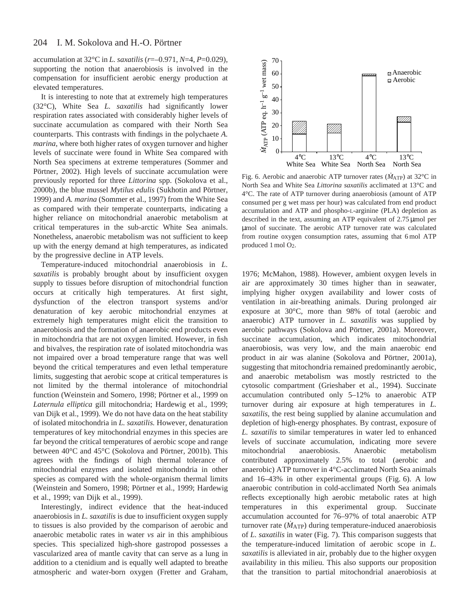#### 204 I. M. Sokolova and H.-O. Pörtner

accumulation at 32°C in *L. saxatilis* (*r*=–0.971, *N*=4, *P*=0.029), supporting the notion that anaerobiosis is involved in the compensation for insufficient aerobic energy production at elevated temperatures.

It is interesting to note that at extremely high temperatures (32°C), White Sea *L. saxatilis* had significantly lower respiration rates associated with considerably higher levels of succinate accumulation as compared with their North Sea counterparts. This contrasts with findings in the polychaete *A. marina*, where both higher rates of oxygen turnover and higher levels of succinate were found in White Sea compared with North Sea specimens at extreme temperatures (Sommer and Pörtner, 2002). High levels of succinate accumulation were previously reported for three *Littorina* spp. (Sokolova et al., 2000b), the blue mussel *Mytilus edulis* (Sukhotin and Pörtner, 1999) and *A. marina* (Sommer et al., 1997) from the White Sea as compared with their temperate counterparts, indicating a higher reliance on mitochondrial anaerobic metabolism at critical temperatures in the sub-arctic White Sea animals. Nonetheless, anaerobic metabolism was not sufficient to keep up with the energy demand at high temperatures, as indicated by the progressive decline in ATP levels.

Temperature-induced mitochondrial anaerobiosis in *L. saxatilis* is probably brought about by insufficient oxygen supply to tissues before disruption of mitochondrial function occurs at critically high temperatures. At first sight, dysfunction of the electron transport systems and/or denaturation of key aerobic mitochondrial enzymes at extremely high temperatures might elicit the transition to anaerobiosis and the formation of anaerobic end products even in mitochondria that are not oxygen limited. However, in fish and bivalves, the respiration rate of isolated mitochondria was not impaired over a broad temperature range that was well beyond the critical temperatures and even lethal temperature limits, suggesting that aerobic scope at critical temperatures is not limited by the thermal intolerance of mitochondrial function (Weinstein and Somero, 1998; Pörtner et al., 1999 on *Laternula elliptica* gill mitochondria; Hardewig et al., 1999; van Dijk et al., 1999). We do not have data on the heat stability of isolated mitochondria in *L. saxatilis.* However, denaturation temperatures of key mitochondrial enzymes in this species are far beyond the critical temperatures of aerobic scope and range between 40°C and 45°C (Sokolova and Pörtner, 2001b). This agrees with the findings of high thermal tolerance of mitochondrial enzymes and isolated mitochondria in other species as compared with the whole-organism thermal limits (Weinstein and Somero, 1998; Pörtner et al., 1999; Hardewig et al., 1999; van Dijk et al., 1999).

Interestingly, indirect evidence that the heat-induced anaerobiosis in *L. saxatilis* is due to insufficient oxygen supply to tissues is also provided by the comparison of aerobic and anaerobic metabolic rates in water *vs* air in this amphibious species. This specialized high-shore gastropod possesses a vascularized area of mantle cavity that can serve as a lung in addition to a ctenidium and is equally well adapted to breathe atmospheric and water-born oxygen (Fretter and Graham,



Fig. 6. Aerobic and anaerobic ATP turnover rates ( $\dot{M}_{ATP}$ ) at 32°C in North Sea and White Sea *Littorina saxatilis* acclimated at 13°C and 4°C. The rate of ATP turnover during anaerobiosis (amount of ATP consumed per g wet mass per hour) was calculated from end product accumulation and ATP and phospho-L-arginine (PLA) depletion as described in the text, assuming an ATP equivalent of 2.75 µmol per µmol of succinate. The aerobic ATP turnover rate was calculated from routine oxygen consumption rates, assuming that 6 mol ATP produced 1 mol  $O_2$ .

1976; McMahon, 1988). However, ambient oxygen levels in air are approximately 30 times higher than in seawater, implying higher oxygen availability and lower costs of ventilation in air-breathing animals. During prolonged air exposure at 30°C, more than 98% of total (aerobic and anaerobic) ATP turnover in *L. saxatilis* was supplied by aerobic pathways (Sokolova and Pörtner, 2001a). Moreover, succinate accumulation, which indicates mitochondrial anaerobiosis, was very low, and the main anaerobic end product in air was alanine (Sokolova and Pörtner, 2001a), suggesting that mitochondria remained predominantly aerobic, and anaerobic metabolism was mostly restricted to the cytosolic compartment (Grieshaber et al., 1994). Succinate accumulation contributed only 5–12% to anaerobic ATP turnover during air exposure at high temperatures in *L. saxatilis*, the rest being supplied by alanine accumulation and depletion of high-energy phosphates. By contrast, exposure of *L. saxatilis* to similar temperatures in water led to enhanced levels of succinate accumulation, indicating more severe mitochondrial anaerobiosis. Anaerobic metabolism contributed approximately 2.5% to total (aerobic and anaerobic) ATP turnover in 4°C-acclimated North Sea animals and 16–43% in other experimental groups (Fig. 6). A low anaerobic contribution in cold-acclimated North Sea animals reflects exceptionally high aerobic metabolic rates at high temperatures in this experimental group. Succinate accumulation accounted for 76–97% of total anaerobic ATP turnover rate  $(\dot{M}_{ATP})$  during temperature-induced anaerobiosis of *L. saxatilis* in water (Fig. 7). This comparison suggests that the temperature-induced limitation of aerobic scope in *L. saxatilis* is alleviated in air, probably due to the higher oxygen availability in this milieu. This also supports our proposition that the transition to partial mitochondrial anaerobiosis at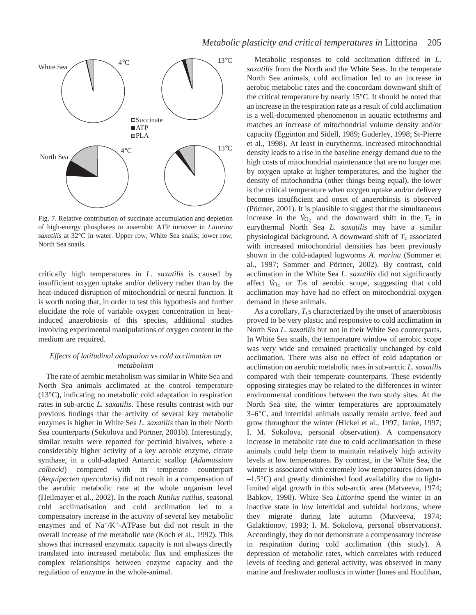

Fig. 7. Relative contribution of succinate accumulation and depletion of high-energy phosphates to anaerobic ATP turnover in *Littorina saxatilis* at 32°C in water. Upper row, White Sea snails; lower row, North Sea snails.

critically high temperatures in *L. saxatilis* is caused by insufficient oxygen uptake and/or delivery rather than by the heat-induced disruption of mitochondrial or neural function. It is worth noting that, in order to test this hypothesis and further elucidate the role of variable oxygen concentration in heatinduced anaerobiosis of this species, additional studies involving experimental manipulations of oxygen content in the medium are required.

# *Effects of latitudinal adaptation* vs *cold acclimation on metabolism*

The rate of aerobic metabolism was similar in White Sea and North Sea animals acclimated at the control temperature (13°C), indicating no metabolic cold adaptation in respiration rates in sub-arctic *L. saxatilis*. These results contrast with our previous findings that the activity of several key metabolic enzymes is higher in White Sea *L. saxatilis* than in their North Sea counterparts (Sokolova and Pörtner, 2001b). Interestingly, similar results were reported for pectinid bivalves, where a considerably higher activity of a key aerobic enzyme, citrate synthase, in a cold-adapted Antarctic scallop (*Adamussium colbecki*) compared with its temperate counterpart (*Aequipecten opercularis*) did not result in a compensation of the aerobic metabolic rate at the whole organism level (Heilmayer et al., 2002). In the roach *Rutilus rutilus*, seasonal cold acclimatisation and cold acclimation led to a compensatory increase in the activity of several key metabolic enzymes and of  $Na^{+}/K^{+}$ -ATPase but did not result in the overall increase of the metabolic rate (Koch et al., 1992). This shows that increased enzymatic capacity is not always directly translated into increased metabolic flux and emphasizes the complex relationships between enzyme capacity and the regulation of enzyme in the whole-animal.

Metabolic responses to cold acclimation differed in *L. saxatilis* from the North and the White Seas. In the temperate North Sea animals, cold acclimation led to an increase in aerobic metabolic rates and the concordant downward shift of the critical temperature by nearly 15°C. It should be noted that an increase in the respiration rate as a result of cold acclimation is a well-documented phenomenon in aquatic ectotherms and matches an increase of mitochondrial volume density and/or capacity (Egginton and Sidell, 1989; Guderley, 1998; St-Pierre et al., 1998). At least in eurytherms, increased mitochondrial density leads to a rise in the baseline energy demand due to the high costs of mitochondrial maintenance that are no longer met by oxygen uptake at higher temperatures, and the higher the density of mitochondria (other things being equal), the lower is the critical temperature when oxygen uptake and/or delivery becomes insufficient and onset of anaerobiosis is observed (Pörtner, 2001). It is plausible to suggest that the simultaneous . increase in the  $\dot{V}_{\text{O}_2}$  and the downward shift in the  $T_c$  in eurythermal North Sea *L. saxatilis* may have a similar physiological background. A downward shift of  $T_c$  associated with increased mitochondrial densities has been previously shown in the cold-adapted lugworms *A. marina* (Sommer et al., 1997; Sommer and Pörtner, 2002). By contrast, cold acclimation in the White Sea *L. saxatilis* did not significantly affect  $\dot{V}_{O_2}$  or  $T_c$ s of aerobic scope, suggesting that cold acclimation may have had no effect on mitochondrial oxygen demand in these animals.

As a corollary,  $T_c$ s characterized by the onset of anaerobiosis proved to be very plastic and responsive to cold acclimation in North Sea *L. saxatilis* but not in their White Sea counterparts. In White Sea snails, the temperature window of aerobic scope was very wide and remained practically unchanged by cold acclimation. There was also no effect of cold adaptation or acclimation on aerobic metabolic rates in sub-arctic *L. saxatilis* compared with their temperate counterparts. These evidently opposing strategies may be related to the differences in winter environmental conditions between the two study sites. At the North Sea site, the winter temperatures are approximately 3–6°C, and intertidal animals usually remain active, feed and grow throughout the winter (Hickel et al., 1997; Janke, 1997; I. M. Sokolova, personal observation). A compensatory increase in metabolic rate due to cold acclimatisation in these animals could help them to maintain relatively high activity levels at low temperatures. By contrast, in the White Sea, the winter is associated with extremely low temperatures (down to  $-1.5\degree$ C) and greatly diminished food availability due to lightlimited algal growth in this sub-arctic area (Matveeva, 1974; Babkov, 1998). White Sea *Littorina* spend the winter in an inactive state in low intertidal and subtidal horizons, where they migrate during late autumn (Matveeva, 1974; Galaktionov, 1993; I. M. Sokolova, personal observations). Accordingly, they do not demonstrate a compensatory increase in respiration during cold acclimation (this study). A depression of metabolic rates, which correlates with reduced levels of feeding and general activity, was observed in many marine and freshwater molluscs in winter (Innes and Houlihan,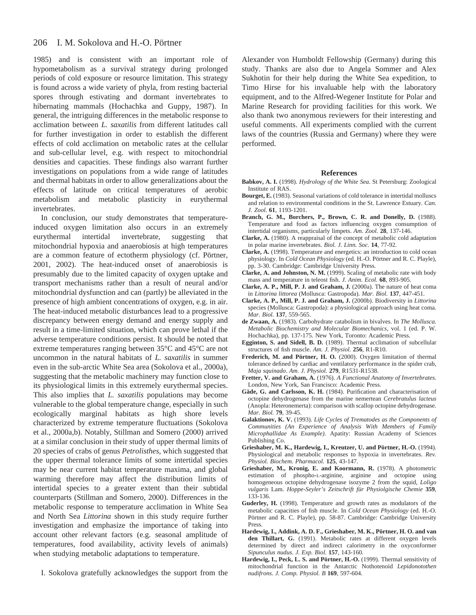#### 206 I. M. Sokolova and H.-O. Pörtner

1985) and is consistent with an important role of hypometabolism as a survival strategy during prolonged periods of cold exposure or resource limitation. This strategy is found across a wide variety of phyla, from resting bacterial spores through estivating and dormant invertebrates to hibernating mammals (Hochachka and Guppy, 1987). In general, the intriguing differences in the metabolic response to acclimation between *L. saxatilis* from different latitudes call for further investigation in order to establish the different effects of cold acclimation on metabolic rates at the cellular and sub-cellular level, e.g. with respect to mitochondrial densities and capacities. These findings also warrant further investigations on populations from a wide range of latitudes and thermal habitats in order to allow generalizations about the effects of latitude on critical temperatures of aerobic metabolism and metabolic plasticity in eurythermal invertebrates.

In conclusion, our study demonstrates that temperatureinduced oxygen limitation also occurs in an extremely eurythermal intertidal invertebrate, suggesting that mitochondrial hypoxia and anaerobiosis at high temperatures are a common feature of ectotherm physiology (cf. Pörtner, 2001, 2002). The heat-induced onset of anaerobiosis is presumably due to the limited capacity of oxygen uptake and transport mechanisms rather than a result of neural and/or mitochondrial dysfunction and can (partly) be alleviated in the presence of high ambient concentrations of oxygen, e.g. in air. The heat-induced metabolic disturbances lead to a progressive discrepancy between energy demand and energy supply and result in a time-limited situation, which can prove lethal if the adverse temperature conditions persist. It should be noted that extreme temperatures ranging between 35°C and 45°C are not uncommon in the natural habitats of *L. saxatilis* in summer even in the sub-arctic White Sea area (Sokolova et al., 2000a), suggesting that the metabolic machinery may function close to its physiological limits in this extremely eurythermal species. This also implies that *L. saxatilis* populations may become vulnerable to the global temperature change, especially in such ecologically marginal habitats as high shore levels characterized by extreme temperature fluctuations (Sokolova et al., 2000a,b). Notably, Stillman and Somero (2000) arrived at a similar conclusion in their study of upper thermal limits of 20 species of crabs of genus *Petrolisthes*, which suggested that the upper thermal tolerance limits of some intertidal species may be near current habitat temperature maxima, and global warming therefore may affect the distribution limits of intertidal species to a greater extent than their subtidal counterparts (Stillman and Somero, 2000). Differences in the metabolic response to temperature acclimation in White Sea and North Sea *Littorina* shown in this study require further investigation and emphasize the importance of taking into account other relevant factors (e.g. seasonal amplitude of temperatures, food availability, activity levels of animals) when studying metabolic adaptations to temperature.

I. Sokolova gratefully acknowledges the support from the

Alexander von Humboldt Fellowship (Germany) during this study. Thanks are also due to Angela Sommer and Alex Sukhotin for their help during the White Sea expedition, to Timo Hirse for his invaluable help with the laboratory equipment, and to the Alfred-Wegener Institute for Polar and Marine Research for providing facilities for this work. We also thank two anonymous reviewers for their interesting and useful comments. All experiments complied with the current laws of the countries (Russia and Germany) where they were performed.

#### **References**

- **Babkov, A. I.** (1998). *Hydrology of the White Sea*. St Petersburg: Zoological Institute of RAS.
- **Bourget, E.** (1983). Seasonal variations of cold tolerance in intertidal molluscs and relation to environmental conditions in the St. Lawrence Estuary. *Can. J. Zool.* **61**, 1193-1201.
- Branch, G. M., Borchers, P., Brown, C. R. and Donelly, D. (1988). Temperature and food as factors influencing oxygen consumption of intertidal organisms, particularly limpets. *Am. Zool.* **28**, 137-146.
- **Clarke, A.** (1980). A reappraisal of the concept of metabolic cold adaptation in polar marine invertebrates. *Biol. J. Linn. Soc.* **14**, 77-92.
- **Clarke, A.** (1998). Temperature and energetics: an introduction to cold ocean physiology. In *Cold Ocean Physiology* (ed. H.-O. Pörtner and R. C. Playle), pp. 3-30. Cambridge: Cambridge University Press.
- **Clarke, A. and Johnston, N. M.** (1999). Scaling of metabolic rate with body mass and temperature in teleost fish. *J. Anim. Ecol.* **68**, 893-905.
- **Clarke, A. P., Mill, P. J. and Graham, J.** (2000a). The nature of heat coma in *Littorina littorea* (Mollusca: Gastropoda). *Mar. Biol.* **137**, 447-451.
- **Clarke, A. P., Mill, P. J. and Graham, J.** (2000b). Biodiversity in *Littorina* species (Mollusca: Gastropoda): a physiological approach using heat coma. *Mar. Biol.* **137**, 559-565.
- **de Zwaan, A.** (1983). Carbohydrate catabolism in bivalves. In *The Mollusca. Metabolic Biochemistry and Molecular Biomechanics*, vol. 1 (ed. P. W. Hochachka), pp. 137-175. New York, Toronto: Academic Press.
- **Egginton, S. and Sidell, B. D.** (1989). Thermal acclimation of subcellular structures of fish muscle. *Am. J. Physiol.* **256**, R1-R10.
- **Frederich, M. and Pörtner, H. O.** (2000). Oxygen limitation of thermal tolerance defined by cardiac and ventilatory performance in the spider crab, *Maja squinado*. *Am. J. Physiol.* **279**, R1531-R1538.
- **Fretter, V. and Graham, A.** (1976). *A Functional Anatomy of Invertebrates*. London, New York, San Francisco: Academic Press.
- **Gäde, G. and Carlsson, K. H.** (1984). Purification and characterisation of octopine dehydrogenase from the marine nemertean *Cerebratulus lacteus* (Anopla: Heteronemerta): comparison with scallop octopine dehydrogenase. *Mar. Biol.* **79**, 39-45.
- **Galaktionov, K. V.** (1993). *Life Cycles of Trematodes as the Components of Communities (An Experience of Analysis With Members of Family Microphallidae As Example)*. Apatity: Russian Academy of Sciences Publishing Co.
- **Grieshaber, M. K., Hardewig, I., Kreutzer, U. and Pörtner, H.-O.** (1994). Physiological and metabolic responses to hypoxia in invertebrates. *Rev. Physiol. Biochem. Pharmacol.* **125**, 43-147.
- **Grieshaber, M., Kronig, E. and Koormann, R.** (1978). A photometric estimation of phospho-L-arginine, arginine and octopine using homogeneous octopine dehydrogenase isozyme 2 from the squid, *Loligo vulgaris* Lam. *Hoppe-Seyler's Zeitschrift für Physiolgische Chemie* **359**, 133-136.
- **Guderley, H.** (1998). Temperature and growth rates as modulators of the metabolic capacities of fish muscle. In *Cold Ocean Physiology* (ed. H.-O. Pörtner and R. C. Playle), pp. 58-87. Cambridge: Cambridge University Press.
- **Hardewig, I., Addink, A. D. F., Grieshaber, M. K., Pörtner, H. O. and van den Thillart, G.** (1991). Metabolic rates at different oxygen levels determined by direct and indirect calorimetry in the oxyconformer *Sipunculus nudus*. *J. Exp. Biol.* **157**, 143-160.
- **Hardewig, I., Peck, L. S. and Pörtner, H.-O.** (1999). Thermal sensitivity of mitochondrial function in the Antarctic Nothotenoid *Lepidonotothen nudifrons*. *J. Comp. Physiol. B* **169**, 597-604.